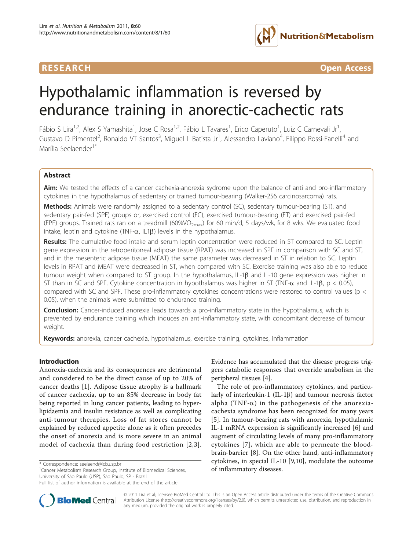

RESEARCH **CONTROLLER CONTROLLER CONTROLLER CONTROLLER CONTROLLER CONTROLLER CONTROLLER CONTROLLER CONTROLLER CONTROLLER CONTROLLER CONTROLLER CONTROLLER CONTROLLER CONTROLLER CONTROLLER CONTROLLER CONTROLLER CONTROLLER CON** 

# Hypothalamic inflammation is reversed by endurance training in anorectic-cachectic rats

Fábio S Lira<sup>1,2</sup>, Alex S Yamashita<sup>1</sup>, Jose C Rosa<sup>1,2</sup>, Fábio L Tavares<sup>1</sup>, Erico Caperuto<sup>1</sup>, Luiz C Carnevali Jr<sup>1</sup> , Gustavo D Pimentel<sup>2</sup>, Ronaldo VT Santos<sup>3</sup>, Miguel L Batista Jr<sup>1</sup>, Alessandro Laviano<sup>4</sup>, Filippo Rossi-Fanelli<sup>4</sup> and Marília Seelaender<sup>1\*</sup>

# Abstract

Aim: We tested the effects of a cancer cachexia-anorexia sydrome upon the balance of anti and pro-inflammatory cytokines in the hypothalamus of sedentary or trained tumour-bearing (Walker-256 carcinosarcoma) rats.

Methods: Animals were randomly assigned to a sedentary control (SC), sedentary tumour-bearing (ST), and sedentary pair-fed (SPF) groups or, exercised control (EC), exercised tumour-bearing (ET) and exercised pair-fed (EPF) groups. Trained rats ran on a treadmill (60%VO<sub>2max</sub>) for 60 min/d, 5 days/wk, for 8 wks. We evaluated food intake, leptin and cytokine (TNF- $\alpha$ , IL1 $\beta$ ) levels in the hypothalamus.

Results: The cumulative food intake and serum leptin concentration were reduced in ST compared to SC. Leptin gene expression in the retroperitoneal adipose tissue (RPAT) was increased in SPF in comparison with SC and ST, and in the mesenteric adipose tissue (MEAT) the same parameter was decreased in ST in relation to SC. Leptin levels in RPAT and MEAT were decreased in ST, when compared with SC. Exercise training was also able to reduce tumour weight when compared to ST group. In the hypothalamus, IL-1 $\beta$  and IL-10 gene expression was higher in ST than in SC and SPF. Cytokine concentration in hypothalamus was higher in ST (TNF- $\alpha$  and IL-1 $\beta$ , p < 0.05), compared with SC and SPF. These pro-inflammatory cytokines concentrations were restored to control values (p < 0.05), when the animals were submitted to endurance training.

**Conclusion:** Cancer-induced anorexia leads towards a pro-inflammatory state in the hypothalamus, which is prevented by endurance training which induces an anti-inflammatory state, with concomitant decrease of tumour weight.

Keywords: anorexia, cancer cachexia, hypothalamus, exercise training, cytokines, inflammation

# Introduction

Anorexia-cachexia and its consequences are detrimental and considered to be the direct cause of up to 20% of cancer deaths [\[1](#page-5-0)]. Adipose tissue atrophy is a hallmark of cancer cachexia, up to an 85% decrease in body fat being reported in lung cancer patients, leading to hyperlipidaemia and insulin resistance as well as complicating anti-tumour therapies. Loss of fat stores cannot be explained by reduced appetite alone as it often precedes the onset of anorexia and is more severe in an animal model of cachexia than during food restriction [[2](#page-5-0),[3\]](#page-5-0).

Evidence has accumulated that the disease progress triggers catabolic responses that override anabolism in the peripheral tissues [\[4](#page-5-0)].

The role of pro-inflammatory cytokines, and particularly of interleukin-1 (IL-1 $\beta$ ) and tumour necrosis factor alpha (TNF- $\alpha$ ) in the pathogenesis of the anorexiacachexia syndrome has been recognized for many years [[5\]](#page-5-0). In tumour-bearing rats with anorexia, hypothalamic IL-1 mRNA expression is significantly increased [[6\]](#page-5-0) and augment of circulating levels of many pro-inflammatory cytokines [[7](#page-5-0)], which are able to permeate the bloodbrain-barrier [[8\]](#page-5-0). On the other hand, anti-inflammatory cytokines, in special IL-10 [\[9,10](#page-5-0)], modulate the outcome



© 2011 Lira et al; licensee BioMed Central Ltd. This is an Open Access article distributed under the terms of the Creative Commons Attribution License [\(http://creativecommons.org/licenses/by/2.0](http://creativecommons.org/licenses/by/2.0)), which permits unrestricted use, distribution, and reproduction in any medium, provided the original work is properly cited.

<sup>\*</sup> Correspondence: [seelaend@icb.usp.br](mailto:seelaend@icb.usp.br)<br><sup>1</sup>Cancer Metabolism Research Group, Institute of Biomedical Sciences, **http://www.metabolism**/**diseases.** University of São Paulo (USP), São Paulo, SP - Brazil

Full list of author information is available at the end of the article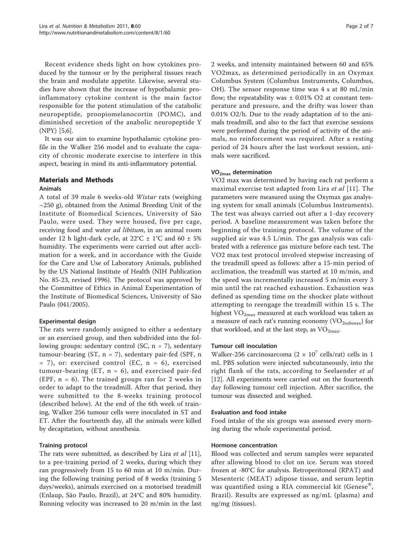Recent evidence sheds light on how cytokines produced by the tumour or by the peripheral tissues reach the brain and modulate appetite. Likewise, several studies have shown that the increase of hypothalamic proinflammatory cytokine content is the main factor responsible for the potent stimulation of the catabolic neuropeptide, proopiomelanocortin (POMC), and diminished secretion of the anabolic neuropeptide Y (NPY) [\[5,6](#page-5-0)].

It was our aim to examine hypothalamic cytokine profile in the Walker 256 model and to evaluate the capacity of chronic moderate exercise to interfere in this aspect, bearing in mind its anti-inflammatory potential.

# Materials and Methods Animals

A total of 39 male 6 weeks-old Wistar rats (weighing  $\sim$ 250 g), obtained from the Animal Breeding Unit of the Institute of Biomedical Sciences, University of São Paulo, were used. They were housed, five per cage, receiving food and water *ad libitum*, in an animal room under 12 h light-dark cycle, at  $22^{\circ}C \pm 1^{\circ}C$  and 60  $\pm$  5% humidity. The experiments were carried out after acclimation for a week, and in accordance with the Guide for the Care and Use of Laboratory Animals, published by the US National Institute of Health (NIH Publication No. 85-23, revised 1996). The protocol was approved by the Committee of Ethics in Animal Experimentation of the Institute of Biomedical Sciences, University of São Paulo (041/2005).

# Experimental design

The rats were randomly assigned to either a sedentary or an exercised group, and then subdivided into the following groups: sedentary control (SC,  $n = 7$ ), sedentary tumour-bearing (ST,  $n = 7$ ), sedentary pair-fed (SPF, n = 7), or: exercised control (EC, n = 6), exercised tumour-bearing (ET,  $n = 6$ ), and exercised pair-fed (EPF,  $n = 6$ ). The trained groups ran for 2 weeks in order to adapt to the treadmill. After that period, they were submitted to the 8-weeks training protocol (described below). At the end of the 6th week of training, Walker 256 tumour cells were inoculated in ST and ET. After the fourteenth day, all the animals were killed by decapitation, without anesthesia.

# Training protocol

The rats were submitted, as described by Lira et al [\[11](#page-5-0)], to a pre-training period of 2 weeks, during which they ran progressively from 15 to 60 min at 10 m/min. During the following training period of 8 weeks (training 5 days/weeks), animals exercised on a motorised treadmill (Enlaup, São Paulo, Brazil), at 24°C and 80% humidity. Running velocity was increased to 20 m/min in the last 2 weeks, and intensity maintained between 60 and 65% VO2max, as determined periodically in an Oxymax Columbus System (Columbus Instruments, Columbus, OH). The sensor response time was 4 s at 80 mL/min flow; the repeatability was  $\pm$  0.01% O2 at constant temperature and pressure, and the drifty was lower than 0.01% O2/h. Due to the ready adaptation of to the animals treadmill, and also to the fact that exercise sessions were performed during the period of activity of the animals, no reinforcement was required. After a resting period of 24 hours after the last workout session, animals were sacrificed.

# VO2max determination

VO2 max was determined by having each rat perform a maximal exercise test adapted from Lira et al [\[11](#page-5-0)]. The parameters were measured using the Oxymax gas analysing system for small animals (Columbus Instruments). The test was always carried out after a 1-day recovery period. A baseline measurement was taken before the beginning of the training protocol. The volume of the supplied air was 4.5 L/min. The gas analysis was calibrated with a reference gas mixture before each test. The VO2 max test protocol involved stepwise increasing of the treadmill speed as follows: after a 15-min period of acclimation, the treadmill was started at 10 m/min, and the speed was incrementally increased 5 m/min every 3 min until the rat reached exhaustion. Exhaustion was defined as spending time on the shocker plate without attempting to reengage the treadmill within 15 s. The highest  $VO_{2max}$  measured at each workload was taken as a measure of each rat's running economy  $(\rm VO_{2submax})$  for that workload, and at the last step, as  $VO<sub>2max</sub>$ .

# Tumour cell inoculation

Walker-256 carcinosarcoma (2  $\times$  10<sup>7</sup> cells/rat) cells in 1 mL PBS solution were injected subcutaneously, into the right flank of the rats, according to Seelaender et al [[12\]](#page-5-0). All experiments were carried out on the fourteenth day following tumour cell injection. After sacrifice, the tumour was dissected and weighed.

# Evaluation and food intake

Food intake of the six groups was assessed every morning during the whole experimental period.

# Hormone concentration

Blood was collected and serum samples were separated after allowing blood to clot on ice. Serum was stored frozen at -80°C for analysis. Retroperitoneal (RPAT) and Mesenteric (MEAT) adipose tissue, and serum leptin was quantified using a RIA commercial kit (Genese<sup>®</sup>, Brazil). Results are expressed as ng/mL (plasma) and ng/mg (tissues).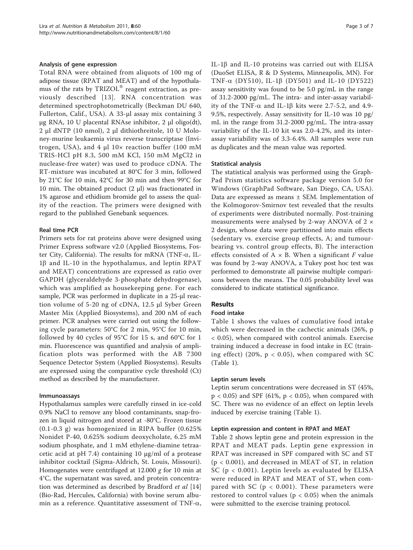## Analysis of gene expression

Total RNA were obtained from aliquots of 100 mg of adipose tissue (RPAT and MEAT) and of the hypothalamus of the rats by TRIZOL® reagent extraction, as previously described [[13\]](#page-6-0). RNA concentration was determined spectrophotometrically (Beckman DU 640, Fullerton, Calif., USA). A 33-μl assay mix containing 3 μg RNA, 10 U placental RNAse inhibitor, 2 μl oligo(dt), 2 μl dNTP (10 nmol), 2 μl dithiothreitole, 10 U Moloney-murine leukaemia virus reverse transcriptase (Invitrogen, USA), and 4 μl 10× reaction buffer (100 mM TRIS-HCl pH 8.3, 500 mM KCl, 150 mM MgCl2 in nuclease-free water) was used to produce cDNA. The RT-mixture was incubated at 80°C for 3 min, followed by 21°C for 10 min, 42°C for 30 min and then 99°C for 10 min. The obtained product (2 μl) was fractionated in 1% agarose and ethidium bromide gel to assess the quality of the reaction. The primers were designed with regard to the published Genebank sequences.

# Real time PCR

Primers sets for rat proteins above were designed using Primer Express software v2.0 (Applied Biosystems, Foster City, California). The results for mRNA (TNF- $\alpha$ , IL- $1\beta$  and IL-10 in the hypothalamus, and leptin RPAT and MEAT) concentrations are expressed as ratio over GAPDH (glyceraldehyde 3-phosphate dehydrogenase), which was amplified as housekeeping gene. For each sample, PCR was performed in duplicate in a 25-μl reaction volume of 5-20 ng of cDNA, 12.5 μl Syber Green Master Mix (Applied Biosystems), and 200 nM of each primer. PCR analyses were carried out using the following cycle parameters: 50°C for 2 min, 95°C for 10 min, followed by 40 cycles of 95°C for 15 s, and 60°C for 1 min. Fluorescence was quantified and analysis of amplification plots was performed with the AB 7300 Sequence Detector System (Applied Biosystems). Results are expressed using the comparative cycle threshold (Ct) method as described by the manufacturer.

#### Immunoassays

Hypothalamus samples were carefully rinsed in ice-cold 0.9% NaCl to remove any blood contaminants, snap-frozen in liquid nitrogen and stored at -80°C. Frozen tissue (0.1-0.3 g) was homogenized in RIPA buffer (0.625% Nonidet P-40, 0.625% sodium deoxycholate, 6.25 mM sodium phosphate, and 1 mM ethylene-diamine tetraacetic acid at pH 7.4) containing 10  $\mu$ g/ml of a protease inhibitor cocktail (Sigma-Aldrich, St. Louis, Missouri). Homogenates were centrifuged at  $12.000$  g for 10 min at 4°C, the supernatant was saved, and protein concentra-tion was determined as described by Bradford et al [[14](#page-6-0)] (Bio-Rad, Hercules, California) with bovine serum albumin as a reference. Quantitative assessment of TNF- $\alpha$ , IL-1 $\beta$  and IL-10 proteins was carried out with ELISA (DuoSet ELISA, R & D Systems, Minneapolis, MN). For TNF- $\alpha$  (DY510), IL-1 $\beta$  (DY501) and IL-10 (DY522) assay sensitivity was found to be 5.0 pg/mL in the range of 31.2-2000 pg/mL. The intra- and inter-assay variability of the TNF- $\alpha$  and IL-1 $\beta$  kits were 2.7-5.2, and 4.9-9.5%, respectively. Assay sensitivity for IL-10 was 10 pg/ mL in the range from 31.2-2000 pg/mL. The intra-assay variability of the IL-10 kit was 2.0-4.2%, and its interassay variability was of 3.3-6.4%. All samples were run as duplicates and the mean value was reported.

## Statistical analysis

The statistical analysis was performed using the Graph-Pad Prism statistics software package version 5.0 for Windows (GraphPad Software, San Diego, CA, USA). Data are expressed as means ± SEM. Implementation of the Kolmogorov-Smirnov test revealed that the results of experiments were distributed normally. Post-training measurements were analysed by 2-way ANOVA of 2 × 2 design, whose data were partitioned into main effects (sedentary vs. exercise group effects, A; and tumourbearing vs. control group effects, B). The interaction effects consisted of  $A \times B$ . When a significant F value was found by 2-way ANOVA, a Tukey post hoc test was performed to demonstrate all pairwise multiple comparisons between the means. The 0.05 probability level was considered to indicate statistical significance.

# Results

#### Food intake

Table [1](#page-3-0) shows the values of cumulative food intake which were decreased in the cachectic animals (26%, p < 0.05), when compared with control animals. Exercise training induced a decrease in food intake in EC (training effect) (20%,  $p < 0.05$ ), when compared with SC (Table [1\)](#page-3-0).

#### Leptin serum levels

Leptin serum concentrations were decreased in ST (45%,  $p < 0.05$ ) and SPF (61%,  $p < 0.05$ ), when compared with SC. There was no evidence of an effect on leptin levels induced by exercise training (Table [1\)](#page-3-0).

## Leptin expression and content in RPAT and MEAT

Table [2](#page-3-0) shows leptin gene and protein expression in the RPAT and MEAT pads. Leptin gene expression in RPAT was increased in SPF compared with SC and ST (p < 0.001), and decreased in MEAT of ST, in relation SC (p < 0.001). Leptin levels as evaluated by ELISA were reduced in RPAT and MEAT of ST, when compared with SC ( $p < 0.001$ ). These parameters were restored to control values ( $p < 0.05$ ) when the animals were submitted to the exercise training protocol.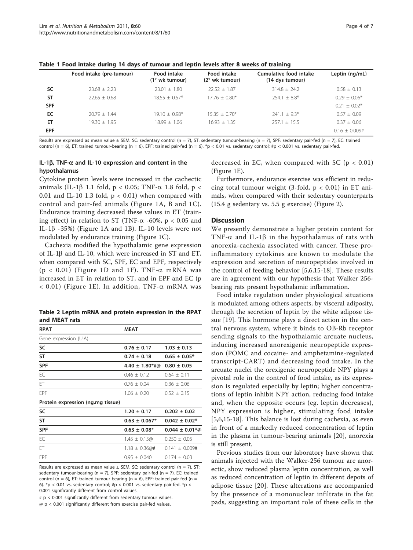|            | Food intake (pre-tumour) | Food intake<br>(1° wk tumour) | Food intake<br>$(2^{\circ}$ wk tumour) | Cumulative food intake<br>(14 dys tumour) | Leptin (ng/mL)  |
|------------|--------------------------|-------------------------------|----------------------------------------|-------------------------------------------|-----------------|
| SC         | $23.68 + 2.23$           | $23.01 + 1.80$                | $22.52 + 1.87$                         | $314.8 + 24.2$                            | $0.58 \pm 0.13$ |
| <b>ST</b>  | $22.65 + 0.68$           | $18.55 + 0.57*$               | $17.76 + 0.80*$                        | $254.1 + 8.8*$                            | $0.29 + 0.06*$  |
| <b>SPF</b> |                          |                               |                                        |                                           | $0.21 + 0.02*$  |
| EC         | $20.79 + 1.44$           | $19.10 + 0.98*$               | $15.35 + 0.70*$                        | $241.1 + 9.3*$                            | $0.57 + 0.09$   |
| ET         | $19.30 + 1.95$           | $18.99 + 1.06$                | $16.93 + 1.35$                         | $257.1 + 15.5$                            | $0.37 + 0.06$   |
| <b>EPF</b> |                          |                               |                                        |                                           | $0.16 + 0.009#$ |

<span id="page-3-0"></span>Table 1 Food intake during 14 days of tumour and leptin levels after 8 weeks of training

Results are expressed as mean value  $\pm$  SEM. SC: sedentary control (n = 7), ST: sedentary tumour-bearing (n = 7), SPF: sedentary pair-fed (n = 7), EC: trained control (n = 6), ET: trained tumour-bearing (n = 6), EPF: trained pair-fed (n = 6). \*p < 0.01 vs. sedentary control; #p < 0.001 vs. sedentary pair-fed.

# IL-1 $\beta$ , TNF- $\alpha$  and IL-10 expression and content in the hypothalamus

Cytokine protein levels were increased in the cachectic animals (IL-1 $\beta$  1.1 fold, p < 0.05; TNF- $\alpha$  1.8 fold, p < 0.01 and IL-10 1.3 fold,  $p < 0.01$ ) when compared with control and pair-fed animals (Figure [1A, B](#page-4-0) and [1C\)](#page-4-0). Endurance training decreased these values in ET (training effect) in relation to ST (TNF- $\alpha$  -60%, p < 0.05 and IL-1 $\beta$  -35%) (Figure [1A](#page-4-0) and [1B\)](#page-4-0). IL-10 levels were not modulated by endurance training (Figure [1C](#page-4-0)).

Cachexia modified the hypothalamic gene expression of IL-1 $\beta$  and IL-10, which were increased in ST and ET, when compared with SC, SPF, EC and EPF, respectively ( $p < 0.01$ ) (Figure [1D](#page-4-0) and [1F](#page-4-0)). TNF- $\alpha$  mRNA was increased in ET in relation to ST, and in EPF and EC (p  $<$  0.01) (Figure [1E](#page-4-0)). In addition, TNF- $\alpha$  mRNA was

Table 2 Leptin mRNA and protein expression in the RPAT and MEAT rats

| <b>RPAT</b>                       | <b>MEAT</b>           |                     |  |  |  |
|-----------------------------------|-----------------------|---------------------|--|--|--|
| Gene expression (U.A)             |                       |                     |  |  |  |
| SC                                | $0.76 \pm 0.17$       | $1.03 \pm 0.13$     |  |  |  |
| <b>ST</b>                         | $0.74 \pm 0.18$       | $0.65 \pm 0.05*$    |  |  |  |
| <b>SPF</b>                        | $4.40 \pm 1.80$ *#@   | $0.80 \pm 0.05$     |  |  |  |
| EC                                | $0.46 \pm 0.12$       | $0.64 \pm 0.11$     |  |  |  |
| FT.                               | $0.76 \pm 0.04$       | $0.36 \pm 0.06$     |  |  |  |
| FPF                               | $1.06 \pm 0.20$       | $0.52 \pm 0.15$     |  |  |  |
| Protein expression (ng.mg tissue) |                       |                     |  |  |  |
| SC                                | $1.20 \pm 0.17$       | $0.202 \pm 0.02$    |  |  |  |
| <b>ST</b>                         | $0.63 \pm 0.067*$     | $0.042 \pm 0.02*$   |  |  |  |
| <b>SPF</b>                        | $0.63 \pm 0.08^*$     | $0.044 \pm 0.01*$ @ |  |  |  |
| EC                                | $1.45 \pm 0.15\omega$ | $0.250 \pm 0.05$    |  |  |  |
| ET                                | $1.18 \pm 0.36$ @#    | $0.141 \pm 0.009$ # |  |  |  |
| FPF                               | $0.95 \pm 0.040$      | $0.174 \pm 0.03$    |  |  |  |
|                                   |                       |                     |  |  |  |

Results are expressed as mean value  $\pm$  SEM. SC: sedentary control (n = 7), ST: sedentary tumour-bearing (n = 7), SPF: sedentary pair-fed (n = 7), EC: trained control (n = 6), ET: trained tumour-bearing (n = 6), EPF: trained pair-fed (n = 6).  $*$ p < 0.01 vs. sedentary control; #p < 0.001 vs. sedentary pair-fed.  $*$ p < 0.001 significantly different from control values.

 $# p < 0.001$  significantly different from sedentary tumour values.

@ p < 0.001 significantly different from exercise pair-fed values.

decreased in EC, when compared with SC ( $p < 0.01$ ) (Figure [1E](#page-4-0)).

Furthermore, endurance exercise was efficient in reducing total tumour weight (3-fold,  $p < 0.01$ ) in ET animals, when compared with their sedentary counterparts (15.4 g sedentary vs. 5.5 g exercise) (Figure [2\)](#page-4-0).

## **Discussion**

We presently demonstrate a higher protein content for TNF- $\alpha$  and IL-1 $\beta$  in the hypothalamus of rats with anorexia-cachexia associated with cancer. These proinflammatory cytokines are known to modulate the expression and secretion of neuropeptides involved in the control of feeding behavior [[5,6,](#page-5-0)[15-18\]](#page-6-0). These results are in agreement with our hypothesis that Walker 256 bearing rats present hypothalamic inflammation.

Food intake regulation under physiological situations is modulated among others aspects, by visceral adiposity, through the secretion of leptin by the white adipose tissue [[19\]](#page-6-0). This hormone plays a direct action in the central nervous system, where it binds to OB-Rb receptor sending signals to the hypothalamic arcuate nucleus, inducing increased anorexigenic neuropeptide expression (POMC and cocaine- and amphetamine-regulated transcript-CART) and decreasing food intake. In the arcuate nuclei the orexigenic neuropeptide NPY plays a pivotal role in the control of food intake, as its expression is regulated especially by leptin; higher concentrations of leptin inhibit NPY action, reducing food intake and, when the opposite occurs (eg. leptin decreases), NPY expression is higher, stimulating food intake [[5,6,](#page-5-0)[15-18](#page-6-0)]. This balance is lost during cachexia, as even in front of a markedly reduced concentration of leptin in the plasma in tumour-bearing animals [\[20](#page-6-0)], anorexia is still present.

Previous studies from our laboratory have shown that animals injected with the Walker-256 tumour are anorectic, show reduced plasma leptin concentration, as well as reduced concentration of leptin in different depots of adipose tissue [[20](#page-6-0)]. These alterations are accompanied by the presence of a mononuclear infiltrate in the fat pads, suggesting an important role of these cells in the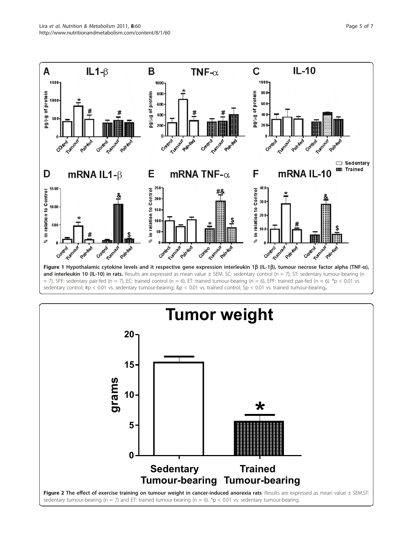<span id="page-4-0"></span>

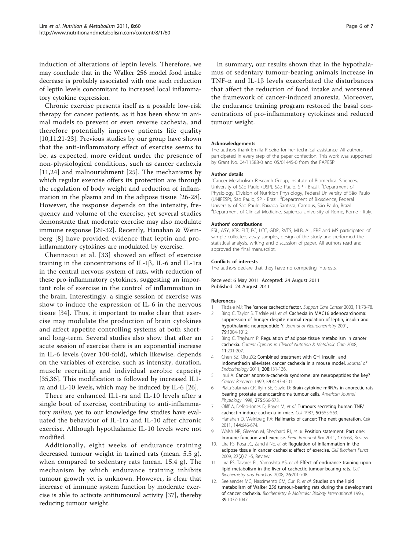<span id="page-5-0"></span>induction of alterations of leptin levels. Therefore, we may conclude that in the Walker 256 model food intake decrease is probably associated with one such reduction of leptin levels concomitant to increased local inflammatory cytokine expression.

Chronic exercise presents itself as a possible low-risk therapy for cancer patients, as it has been show in animal models to prevent or even reverse cachexia, and therefore potentially improve patients life quality [10,11,[21-23\]](#page-6-0). Previous studies by our group have shown that the anti-inflammatory effect of exercise seems to be, as expected, more evident under the presence of non-physiological conditions, such as cancer cachexia [11,[24\]](#page-6-0) and malnourishment [[25\]](#page-6-0). The mechanisms by which regular exercise offers its protection are through the regulation of body weight and reduction of inflammation in the plasma and in the adipose tissue [[26-28](#page-6-0)]. However, the response depends on the intensity, frequency and volume of the exercise, yet several studies demonstrate that moderate exercise may also modulate immune response [\[29](#page-6-0)-[32\]](#page-6-0). Recently, Hanahan & Weinberg [8] have provided evidence that leptin and proinflammatory cytokines are modulated by exercise.

Chennaoui et al. [[33\]](#page-6-0) showed an effect of exercise training in the concentrations of IL-1 $\beta$ , IL-6 and IL-1ra in the central nervous system of rats, with reduction of these pro-inflammatory cytokines, suggesting an important role of exercise in the control of inflammation in the brain. Interestingly, a single session of exercise was show to induce the expression of IL-6 in the nervous tissue [[34](#page-6-0)]. Thus, it important to make clear that exercise may modulate the production of brain cytokines and affect appetite controlling systems at both shortand long-term. Several studies also show that after an acute session of exercise there is an exponential increase in IL-6 levels (over 100-fold), which likewise, depends on the variables of exercise, such as intensity, duration, muscle recruiting and individual aerobic capacity [[35,36](#page-6-0)]. This modification is followed by increased IL1 ra and IL-10 levels, which may be induced by IL-6 [\[26](#page-6-0)].

There are enhanced IL1-ra and IL-10 levels after a single bout of exercise, contributing to anti-inflammatory milieu, yet to our knowledge few studies have evaluated the behaviour of IL-1ra and IL-10 after chronic exercise. Although hypothalamic IL-10 levels were not modified.

Additionally, eight weeks of endurance training decreased tumour weight in trained rats (mean. 5.5 g). when compared to sedentary rats (mean. 15.4 g). The mechanism by which endurance training inhibits tumour growth yet is unknown. However, is clear that increase of immune system function by moderate exercise is able to activate antitumoural activity [[37\]](#page-6-0), thereby reducing tumour weight.

In summary, our results shown that in the hypothalamus of sedentary tumour-bearing animals increase in TNF- $\alpha$  and IL-1 $\beta$  levels exacerbated the disturbances that affect the reduction of food intake and worsened the framework of cancer-induced anorexia. Moreover, the endurance training program restored the basal concentrations of pro-inflammatory cytokines and reduced tumour weight.

#### Acknowledgements

The authors thank Emilia Ribeiro for her technical assistance. All authors participated in every step of the paper confection. This work was supported by Grant No. 04/11588-0 and 05/01445-0 from the FAPESP.

#### Author details

<sup>1</sup> Cancer Metabolism Research Group, Institute of Biomedical Sciences, University of São Paulo (USP), São Paulo, SP - Brazil. <sup>2</sup>Department of Physiology, Division of Nutrition Physiology, Federal University of São Paulo (UNIFESP), São Paulo, SP - Brazil. <sup>3</sup>Department of Bioscience, Federal University of São Paulo, Baixada Santista, Campus, São Paulo, Brazil. 4 Department of Clinical Medicine, Sapienza University of Rome, Rome - Italy.

#### Authors' contributions

FSL, ASY, JCR, FLT, EC, LCC, GDP, RVTS, MLB, AL, FRF and MS participated of sample collected, assay samples, design of the study and performed the statistical analysis, writing and discussion of paper. All authors read and approved the final manuscript.

#### Conflicts of interests

The authors declare that they have no competing interests.

Received: 6 May 2011 Accepted: 24 August 2011 Published: 24 August 2011

#### References

- Tisdale MJ: The '[cancer cachectic factor.](http://www.ncbi.nlm.nih.gov/pubmed/12560934?dopt=Abstract) Support Care Cancer 2003, 11:73-78.
- 2. Bing C, Taylor S, Tisdale MJ, et al: [Cachexia in MAC16 adenocarcinoma:](http://www.ncbi.nlm.nih.gov/pubmed/11739612?dopt=Abstract) [suppression of hunger despite normal regulation of leptin, insulin and](http://www.ncbi.nlm.nih.gov/pubmed/11739612?dopt=Abstract) [hypothalamic neuropeptide Y.](http://www.ncbi.nlm.nih.gov/pubmed/11739612?dopt=Abstract) Journal of Neurochemistry 2001, 79:1004-1012.
- 3. Bing C, Trayhurn P: [Regulation of adipose tissue metabolism in cancer](http://www.ncbi.nlm.nih.gov/pubmed/21874110?dopt=Abstract) [cachexia.](http://www.ncbi.nlm.nih.gov/pubmed/21874110?dopt=Abstract) Current Opinion in Clinical Nutrition & Metabolic Care 2008, 11:201-207.
- 4. Chen SZ, Qiu ZG: [Combined treatment with GH, insulin, and](http://www.ncbi.nlm.nih.gov/pubmed/21106721?dopt=Abstract) [indomethacin alleviates cancer cachexia in a mouse model.](http://www.ncbi.nlm.nih.gov/pubmed/21106721?dopt=Abstract) Journal of Endocrinology 2011, 208:131-136.
- 5. Inui A: [Cancer anorexia-cachexia syndrome: are neuropeptides the key?](http://www.ncbi.nlm.nih.gov/pubmed/10493494?dopt=Abstract) Cancer Research 1999, 59:4493-4501.
- 6. Plata-Salamán CR, Ilyin SE, Gayle D: Brain cytokine mRNAs in anorectic rats bearing prostate adenocarcinoma tumour cells. American Journal Physiology 1998, 275:566-573.
- 7. Oliff A, Defeo-Jones D, Boyer M, et al: [Tumours secreting human TNF/](http://www.ncbi.nlm.nih.gov/pubmed/3607879?dopt=Abstract) [cachectin induce cachexia in mice.](http://www.ncbi.nlm.nih.gov/pubmed/3607879?dopt=Abstract) Cell 1987, 50:555-563.
- 8. Hanahan D, Weinberg RA: [Hallmarks of cancer: The next generation.](http://www.ncbi.nlm.nih.gov/pubmed/21376230?dopt=Abstract) Cell 2011, 144:646-674.
- 9. Walsh NP, Gleeson M, Shephard RJ, et al: [Position statement. Part one:](http://www.ncbi.nlm.nih.gov/pubmed/21446352?dopt=Abstract) [Immune function and exercise.](http://www.ncbi.nlm.nih.gov/pubmed/21446352?dopt=Abstract) Exerc Immunol Rev 2011, 17:6-63, Review.
- 10. Lira FS, Rosa JC, Zanchi NE, et al: [Regulation of inflammation in the](http://www.ncbi.nlm.nih.gov/pubmed/19226603?dopt=Abstract) [adipose tissue in cancer cachexia: effect of exercise.](http://www.ncbi.nlm.nih.gov/pubmed/19226603?dopt=Abstract) Cell Biochem Funct 2009, 27(2):71-5, Review.
- 11. Lira FS, Tavares FL, Yamashita AS, et al: [Effect of endurance training upon](http://www.ncbi.nlm.nih.gov/pubmed/18636434?dopt=Abstract) [lipid metabolism in the liver of cachectic tumour-bearing rats.](http://www.ncbi.nlm.nih.gov/pubmed/18636434?dopt=Abstract) Cell Biochemistry and Function 2008, 26:701-708.
- 12. Seelaender MC, Nascimento CM, Curi R, et al: [Studies on the lipid](http://www.ncbi.nlm.nih.gov/pubmed/21879444?dopt=Abstract) [metabolism of Walker 256 tumour-bearing rats during the development](http://www.ncbi.nlm.nih.gov/pubmed/21879444?dopt=Abstract) [of cancer cachexia.](http://www.ncbi.nlm.nih.gov/pubmed/21879444?dopt=Abstract) Biochemistry & Molecular Biology International 1996, 39:1037-1047.